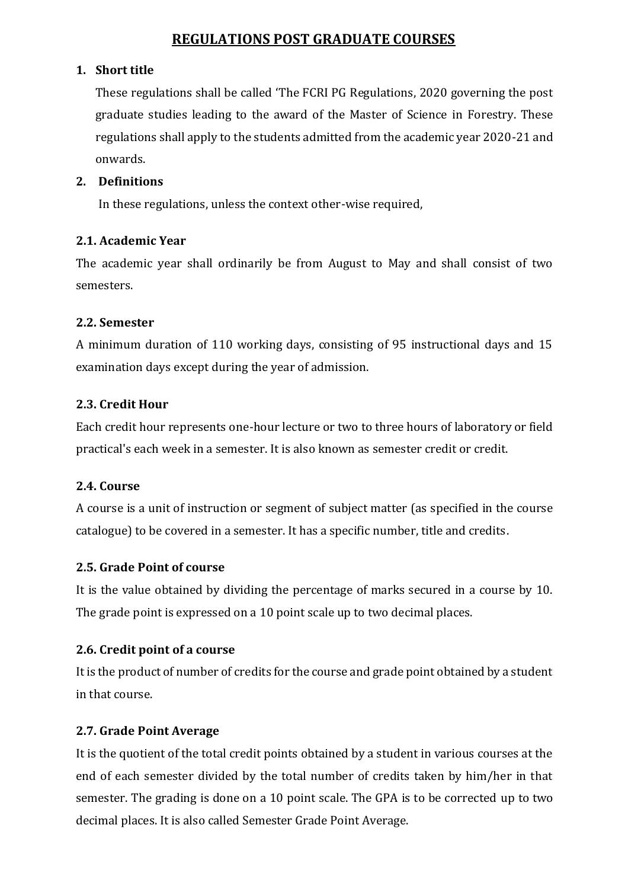# **1. Short title**

These regulations shall be called 'The FCRI PG Regulations, 2020 governing the post graduate studies leading to the award of the Master of Science in Forestry. These regulations shall apply to the students admitted from the academic year 2020-21 and onwards.

# **2. Definitions**

In these regulations, unless the context other-wise required,

# **2.1. Academic Year**

The academic year shall ordinarily be from August to May and shall consist of two semesters.

# **2.2. Semester**

A minimum duration of 110 working days, consisting of 95 instructional days and 15 examination days except during the year of admission.

# **2.3. Credit Hour**

Each credit hour represents one-hour lecture or two to three hours of laboratory or field practical's each week in a semester. It is also known as semester credit or credit.

# **2.4. Course**

A course is a unit of instruction or segment of subject matter (as specified in the course catalogue) to be covered in a semester. It has a specific number, title and credits.

# **2.5. Grade Point of course**

It is the value obtained by dividing the percentage of marks secured in a course by 10. The grade point is expressed on a 10 point scale up to two decimal places.

# **2.6. Credit point of a course**

It is the product of number of credits for the course and grade point obtained by a student in that course.

# **2.7. Grade Point Average**

It is the quotient of the total credit points obtained by a student in various courses at the end of each semester divided by the total number of credits taken by him/her in that semester. The grading is done on a 10 point scale. The GPA is to be corrected up to two decimal places. It is also called Semester Grade Point Average.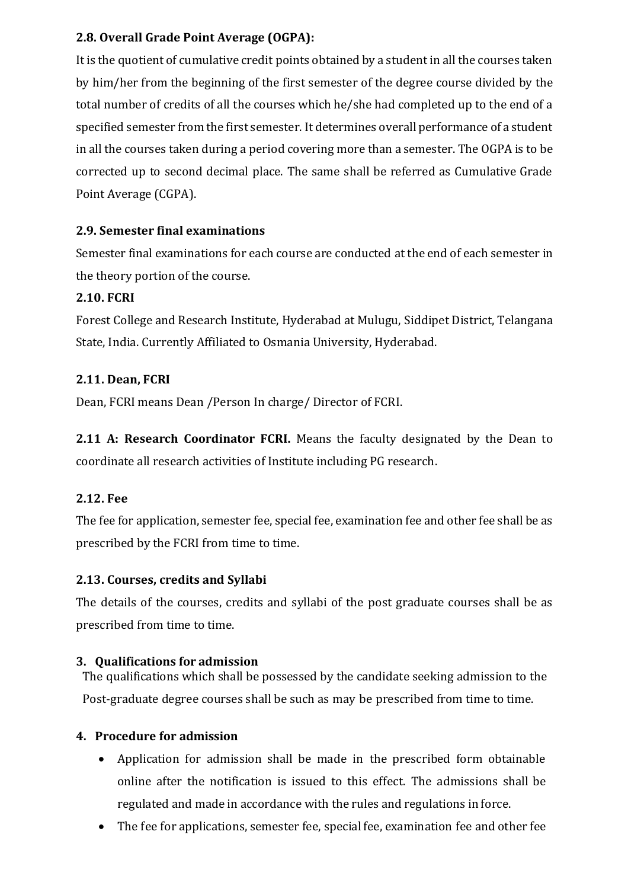# **2.8. Overall Grade Point Average (OGPA):**

It is the quotient of cumulative credit points obtained by a student in all the courses taken by him/her from the beginning of the first semester of the degree course divided by the total number of credits of all the courses which he/she had completed up to the end of a specified semester from the first semester. It determines overall performance of a student in all the courses taken during a period covering more than a semester. The OGPA is to be corrected up to second decimal place. The same shall be referred as Cumulative Grade Point Average (CGPA).

# **2.9. Semester final examinations**

Semester final examinations for each course are conducted at the end of each semester in the theory portion of the course.

# **2.10. FCRI**

Forest College and Research Institute, Hyderabad at Mulugu, Siddipet District, Telangana State, India. Currently Affiliated to Osmania University, Hyderabad.

# **2.11. Dean, FCRI**

Dean, FCRI means Dean /Person In charge/ Director of FCRI.

**2.11 A: Research Coordinator FCRI.** Means the faculty designated by the Dean to coordinate all research activities of Institute including PG research.

# **2.12. Fee**

The fee for application, semester fee, special fee, examination fee and other fee shall be as prescribed by the FCRI from time to time.

# **2.13. Courses, credits and Syllabi**

The details of the courses, credits and syllabi of the post graduate courses shall be as prescribed from time to time.

# **3. Qualifications for admission**

The qualifications which shall be possessed by the candidate seeking admission to the Post-graduate degree courses shall be such as may be prescribed from time to time.

# **4. Procedure for admission**

- Application for admission shall be made in the prescribed form obtainable online after the notification is issued to this effect. The admissions shall be regulated and made in accordance with the rules and regulations in force.
- The fee for applications, semester fee, special fee, examination fee and other fee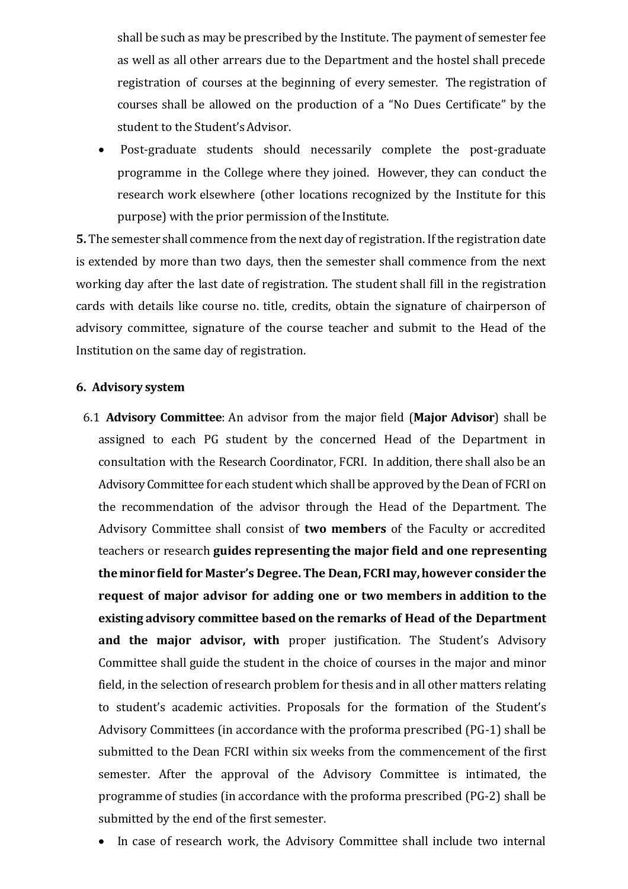shall be such as may be prescribed by the Institute. The payment of semester fee as well as all other arrears due to the Department and the hostel shall precede registration of courses at the beginning of every semester. The registration of courses shall be allowed on the production of a "No Dues Certificate" by the student to the Student's Advisor.

• Post-graduate students should necessarily complete the post-graduate programme in the College where they joined. However, they can conduct the research work elsewhere (other locations recognized by the Institute for this purpose) with the prior permission of the Institute.

**5.** The semester shall commence from the next day of registration. If the registration date is extended by more than two days, then the semester shall commence from the next working day after the last date of registration. The student shall fill in the registration cards with details like course no. title, credits, obtain the signature of chairperson of advisory committee, signature of the course teacher and submit to the Head of the Institution on the same day of registration.

#### **6. Advisory system**

- 6.1 **Advisory Committee**: An advisor from the major field (**Major Advisor**) shall be assigned to each PG student by the concerned Head of the Department in consultation with the Research Coordinator, FCRI. In addition, there shall also be an Advisory Committee for each student which shall be approved by the Dean of FCRI on the recommendation of the advisor through the Head of the Department. The Advisory Committee shall consist of **two members** of the Faculty or accredited teachers or research **guides representing the major field and one representing theminor field for Master's Degree. The Dean, FCRI may, however consider the request of major advisor for adding one or two members in addition to the existing advisory committee based on the remarks of Head of the Department and the major advisor, with** proper justification. The Student's Advisory Committee shall guide the student in the choice of courses in the major and minor field, in the selection of research problem for thesis and in all other matters relating to student's academic activities. Proposals for the formation of the Student's Advisory Committees (in accordance with the proforma prescribed (PG-1) shall be submitted to the Dean FCRI within six weeks from the commencement of the first semester. After the approval of the Advisory Committee is intimated, the programme of studies (in accordance with the proforma prescribed (PG-2) shall be submitted by the end of the first semester.
	- In case of research work, the Advisory Committee shall include two internal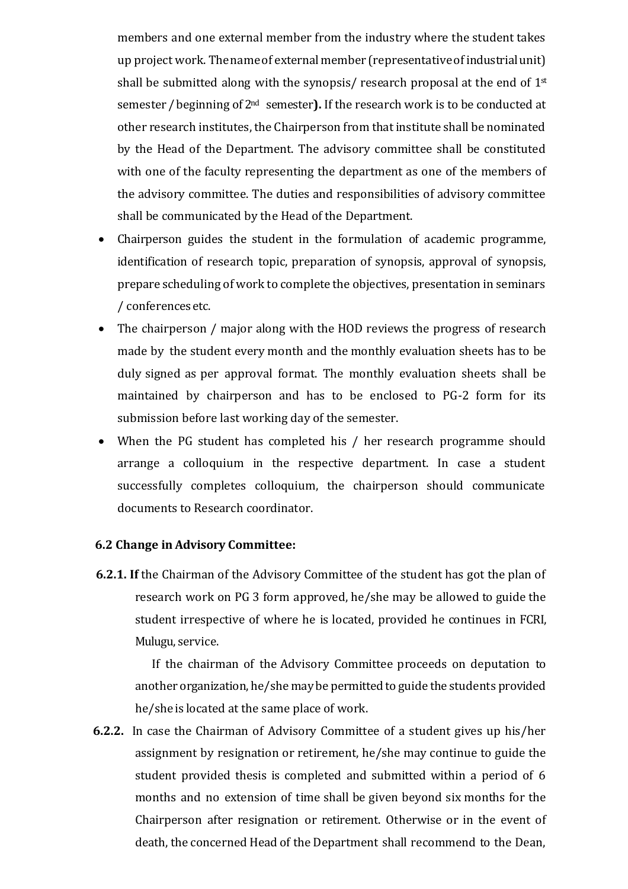members and one external member from the industry where the student takes up project work. Thenameof externalmember (representativeof industrialunit) shall be submitted along with the synopsis/ research proposal at the end of  $1<sup>st</sup>$ semester /beginning of 2nd semester**).** If the research work is to be conducted at other research institutes, the Chairperson from that institute shall be nominated by the Head of the Department. The advisory committee shall be constituted with one of the faculty representing the department as one of the members of the advisory committee. The duties and responsibilities of advisory committee shall be communicated by the Head of the Department.

- Chairperson guides the student in the formulation of academic programme, identification of research topic, preparation of synopsis, approval of synopsis, prepare scheduling of work to complete the objectives, presentation in seminars / conferencesetc.
- The chairperson / major along with the HOD reviews the progress of research made by the student every month and the monthly evaluation sheets has to be duly signed as per approval format. The monthly evaluation sheets shall be maintained by chairperson and has to be enclosed to PG-2 form for its submission before last working day of the semester.
- When the PG student has completed his / her research programme should arrange a colloquium in the respective department. In case a student successfully completes colloquium, the chairperson should communicate documents to Research coordinator.

#### **6.2 Change in Advisory Committee:**

 **6.2.1. If** the Chairman of the Advisory Committee of the student has got the plan of research work on PG 3 form approved, he/she may be allowed to guide the student irrespective of where he is located, provided he continues in FCRI, Mulugu, service.

If the chairman of the Advisory Committee proceeds on deputation to another organization, he/she may be permitted to guide the students provided he/she is located at the same place of work.

 **6.2.2.** In case the Chairman of Advisory Committee of a student gives up his/her assignment by resignation or retirement, he/she may continue to guide the student provided thesis is completed and submitted within a period of 6 months and no extension of time shall be given beyond six months for the Chairperson after resignation or retirement. Otherwise or in the event of death, the concerned Head of the Department shall recommend to the Dean,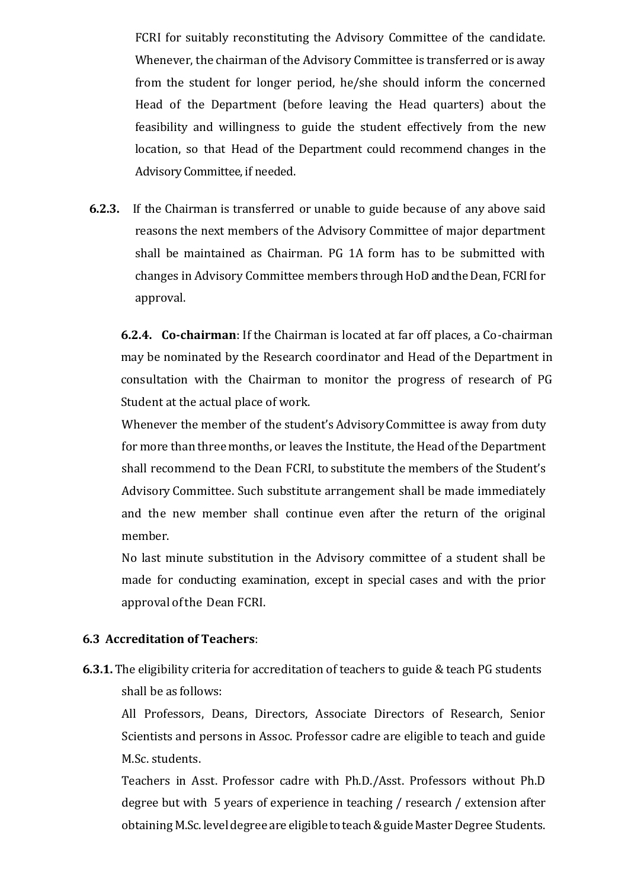FCRI for suitably reconstituting the Advisory Committee of the candidate. Whenever, the chairman of the Advisory Committee is transferred or is away from the student for longer period, he/she should inform the concerned Head of the Department (before leaving the Head quarters) about the feasibility and willingness to guide the student effectively from the new location, so that Head of the Department could recommend changes in the AdvisoryCommittee, if needed.

 **6.2.3.** If the Chairman is transferred or unable to guide because of any above said reasons the next members of the Advisory Committee of major department shall be maintained as Chairman. PG 1A form has to be submitted with changes in Advisory Committee members through HoD and the Dean, FCRI for approval.

**6.2.4. Co-chairman**: If the Chairman is located at far off places, a Co-chairman may be nominated by the Research coordinator and Head of the Department in consultation with the Chairman to monitor the progress of research of PG Student at the actual place of work.

Whenever the member of the student's Advisory Committee is away from duty for more than three months, or leaves the Institute, the Head of the Department shall recommend to the Dean FCRI, to substitute the members of the Student's Advisory Committee. Such substitute arrangement shall be made immediately and the new member shall continue even after the return of the original member.

No last minute substitution in the Advisory committee of a student shall be made for conducting examination, except in special cases and with the prior approval ofthe Dean FCRI.

#### **6.3 Accreditation of Teachers**:

**6.3.1.** The eligibility criteria for accreditation of teachers to guide & teach PG students shall be as follows:

All Professors, Deans, Directors, Associate Directors of Research, Senior Scientists and persons in Assoc. Professor cadre are eligible to teach and guide M.Sc. students.

Teachers in Asst. Professor cadre with Ph.D./Asst. Professors without Ph.D degree but with 5 years of experience in teaching / research / extension after obtaining M.Sc. level degree are eligibleto teach&guideMasterDegree Students.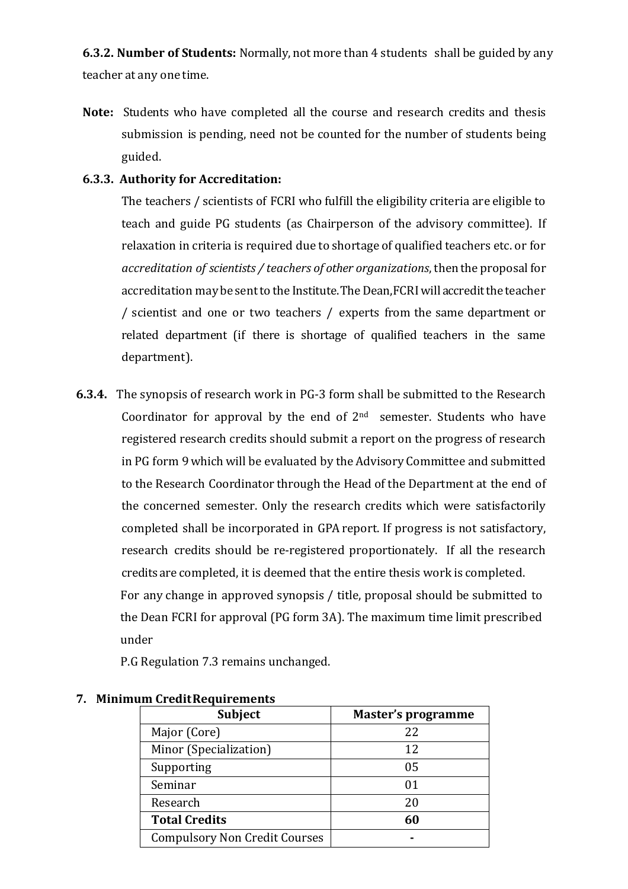**6.3.2. Number of Students:** Normally, not more than 4 students shall be guided by any teacher at any one time.

**Note:** Students who have completed all the course and research credits and thesis submission is pending, need not be counted for the number of students being guided.

### **6.3.3. Authority for Accreditation:**

The teachers / scientists of FCRI who fulfill the eligibility criteria are eligible to teach and guide PG students (as Chairperson of the advisory committee). If relaxation in criteria is required due to shortage of qualified teachers etc. or for *accreditation of scientists / teachers of other organizations*, then the proposal for accreditation may be sent to the Institute. The Dean, FCRI will accredit the teacher / scientist and one or two teachers / experts from the same department or related department (if there is shortage of qualified teachers in the same department).

**6.3.4.** The synopsis of research work in PG-3 form shall be submitted to the Research Coordinator for approval by the end of  $2<sup>nd</sup>$  semester. Students who have registered research credits should submit a report on the progress of research in PG form 9which will be evaluated by the Advisory Committee and submitted to the Research Coordinator through the Head of the Department at the end of the concerned semester. Only the research credits which were satisfactorily completed shall be incorporated in GPAreport. If progress is not satisfactory, research credits should be re-registered proportionately. If all the research credits are completed, it is deemed that the entire thesis work is completed. For any change in approved synopsis / title, proposal should be submitted to the Dean FCRI for approval (PG form 3A). The maximum time limit prescribed under

P.G Regulation 7.3 remains unchanged.

| <b>Subject</b>                       | <b>Master's programme</b> |
|--------------------------------------|---------------------------|
| Major (Core)                         | 22                        |
| Minor (Specialization)               | 12                        |
| Supporting                           | 05                        |
| Seminar                              | 01                        |
| Research                             | 20                        |
| <b>Total Credits</b>                 | 60                        |
| <b>Compulsory Non Credit Courses</b> |                           |

#### **7. Minimum CreditRequirements**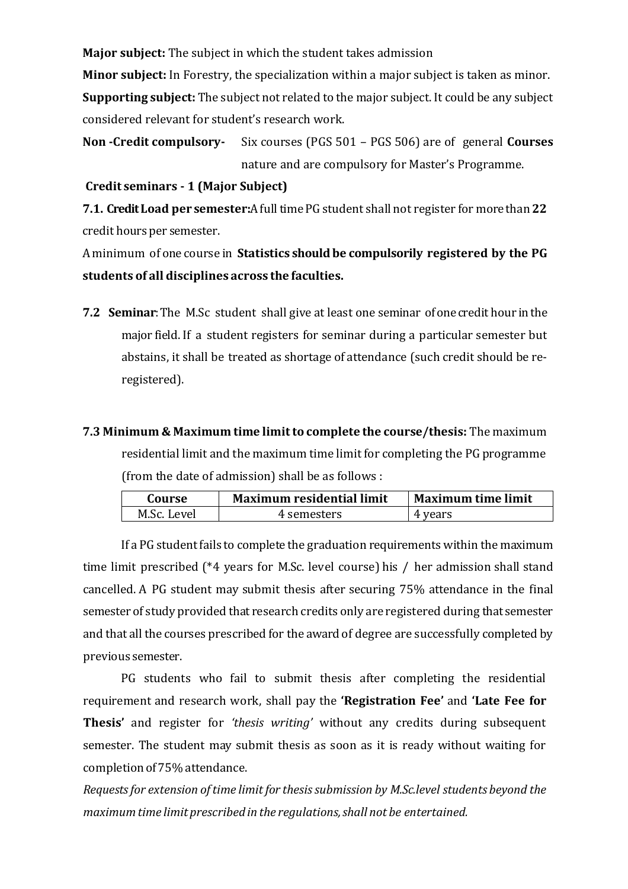**Major subject:** The subject in which the student takes admission **Minor subject:** In Forestry, the specialization within a major subject is taken as minor. **Supporting subject:** The subject not related to the major subject. It could be any subject considered relevant for student's research work.

**Non -Credit compulsory-** Six courses (PGS 501 – PGS 506) are of general **Courses**  nature and are compulsory for Master's Programme.

#### **Credit seminars - 1 (Major Subject)**

**7.1. CreditLoad per semester:**AfulltimePG student shall not register for morethan **22** credit hours per semester.

A minimum of one course in **Statistics should be compulsorily registered by the PG students of all disciplines across the faculties.**

- **7.2 Seminar**:The M.Sc student shall give at least one seminar ofonecredit hour in the major field. If a student registers for seminar during a particular semester but abstains, it shall be treated as shortage of attendance (such credit should be reregistered).
- **7.3 Minimum & Maximum time limit to complete the course/thesis:** The maximum residential limit and the maximum time limit for completing the PG programme (from the date of admission) shall be as follows :

| Course      | <b>Maximum residential limit</b> | <b>Maximum time limit</b> |
|-------------|----------------------------------|---------------------------|
| M.Sc. Level | 4 semesters                      | 4 years                   |

If a PG student fails to complete the graduation requirements within the maximum time limit prescribed (\*4 years for M.Sc. level course) his / her admission shall stand cancelled. A PG student may submit thesis after securing 75% attendance in the final semesterof studyprovided that research credits only are registered during that semester and that all the courses prescribed for the award of degree are successfully completed by previous semester.

PG students who fail to submit thesis after completing the residential requirement and research work, shall pay the **'Registration Fee'** and **'Late Fee for Thesis'** and register for *'thesis writing'* without any credits during subsequent semester. The student may submit thesis as soon as it is ready without waiting for completion of 75% attendance.

*Requestsfor extension oftime limit for thesissubmission by M.Sc.level students beyond the maximumtime limit prescribedin the regulations,shall not be entertained.*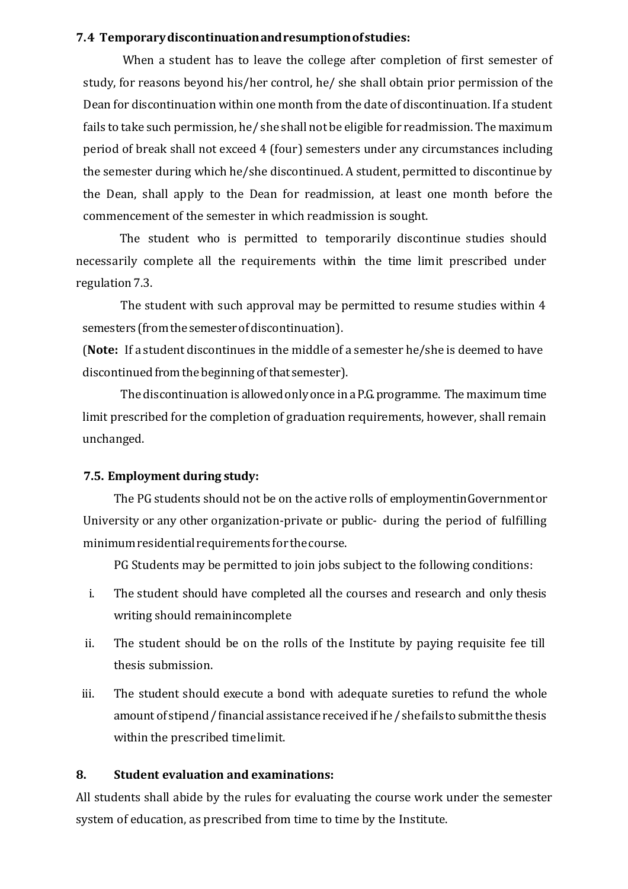#### **7.4 Temporarydiscontinuationandresumptionofstudies:**

 When a student has to leave the college after completion of first semester of study, for reasons beyond his/her control, he/ she shall obtain prior permission of the Dean for discontinuation within one month from the date of discontinuation. If a student fails to take such permission, he/ she shall not be eligible for readmission. The maximum period of break shall not exceed 4 (four) semesters under any circumstances including the semester during which he/she discontinued. A student, permitted to discontinue by the Dean, shall apply to the Dean for readmission, at least one month before the commencement of the semester in which readmission is sought.

 The student who is permitted to temporarily discontinue studies should necessarily complete all the requirements within the time limit prescribed under regulation 7.3.

The student with such approval may be permitted to resume studies within 4 semesters (from the semester of discontinuation).

(**Note:** If a student discontinues in the middle of a semester he/she is deemed to have discontinued from the beginning of that semester).

The discontinuation is allowed only once in a P.G. programme. The maximum time limit prescribed for the completion of graduation requirements, however, shall remain unchanged.

#### **7.5. Employment during study:**

The PG students should not be on the active rolls of employmentinGovernmentor University or any other organization-private or public- during the period of fulfilling minimumresidential requirements for thecourse.

PG Students may be permitted to join jobs subject to the following conditions:

- i. The student should have completed all the courses and research and only thesis writing should remainincomplete
- ii. The student should be on the rolls of the Institute by paying requisite fee till thesis submission.
- iii. The student should execute a bond with adequate sureties to refund the whole amount of stipend / financial assistance received if he / she fails to submit the thesis within the prescribed timelimit.

#### **8. Student evaluation and examinations:**

All students shall abide by the rules for evaluating the course work under the semester system of education, as prescribed from time to time by the Institute.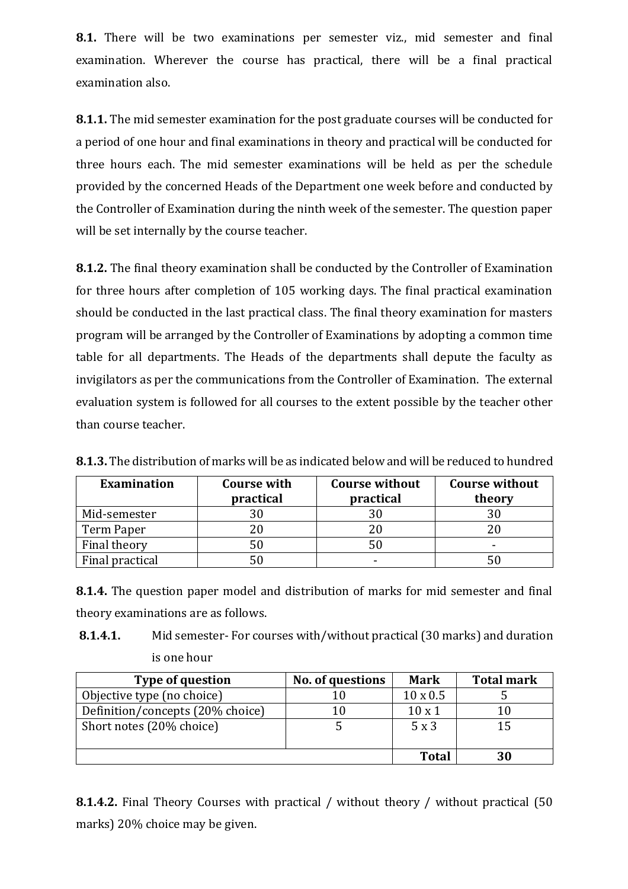**8.1.** There will be two examinations per semester viz., mid semester and final examination. Wherever the course has practical, there will be a final practical examination also.

**8.1.1.** The mid semester examination for the post graduate courses will be conducted for a period of one hour and final examinations in theory and practical will be conducted for three hours each. The mid semester examinations will be held as per the schedule provided by the concerned Heads of the Department one week before and conducted by the Controller of Examination during the ninth week of the semester. The question paper will be set internally by the course teacher.

**8.1.2.** The final theory examination shall be conducted by the Controller of Examination for three hours after completion of 105 working days. The final practical examination should be conducted in the last practical class. The final theory examination for masters program will be arranged by the Controller of Examinations by adopting a common time table for all departments. The Heads of the departments shall depute the faculty as invigilators as per the communications from the Controller of Examination. The external evaluation system is followed for all courses to the extent possible by the teacher other than course teacher.

| <b>Examination</b> | Course with<br>practical | <b>Course without</b><br>practical | <b>Course without</b><br>theory |
|--------------------|--------------------------|------------------------------------|---------------------------------|
| Mid-semester       |                          |                                    |                                 |
| Term Paper         |                          |                                    |                                 |
| Final theory       |                          |                                    | $\overline{\phantom{0}}$        |
| Final practical    |                          |                                    |                                 |

**8.1.3.** The distribution of marks will be as indicated below and will be reduced to hundred

**8.1.4.** The question paper model and distribution of marks for mid semester and final theory examinations are as follows.

| 8.1.4.1. | Mid semester- For courses with/without practical (30 marks) and duration |
|----------|--------------------------------------------------------------------------|
|          | is one hour                                                              |

| <b>Type of question</b>          | No. of questions | Mark            | <b>Total mark</b> |
|----------------------------------|------------------|-----------------|-------------------|
| Objective type (no choice)       |                  | $10 \times 0.5$ |                   |
| Definition/concepts (20% choice) |                  | $10 \times 1$   |                   |
| Short notes (20% choice)         |                  | 5x3             | 15                |
|                                  |                  |                 |                   |
|                                  |                  | <b>Total</b>    |                   |

**8.1.4.2.** Final Theory Courses with practical / without theory / without practical (50) marks) 20% choice may be given.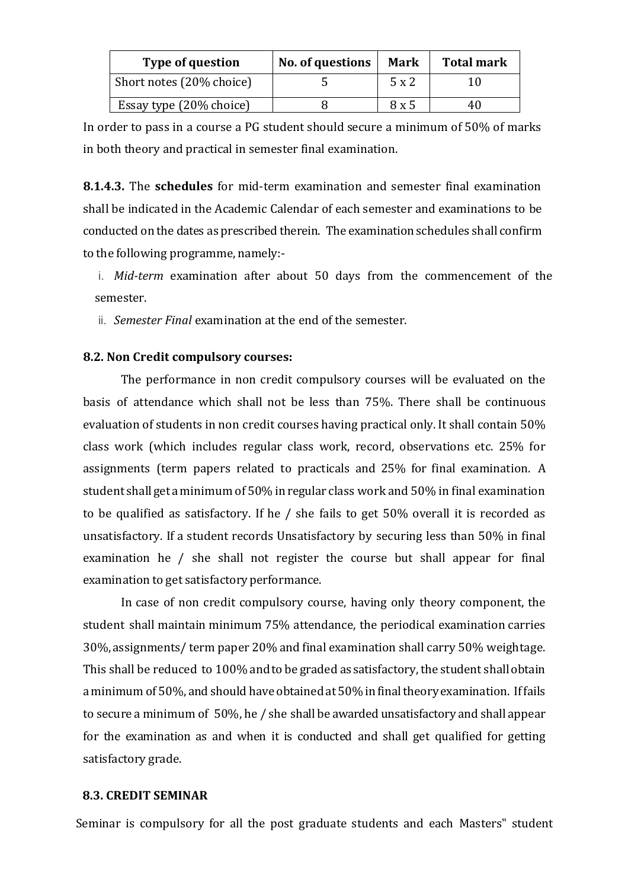| <b>Type of question</b>  | <b>No. of questions</b> | Mark | <b>Total mark</b> |
|--------------------------|-------------------------|------|-------------------|
| Short notes (20% choice) |                         | 5x2  |                   |
| Essay type (20% choice)  |                         | 8x5  | 40                |

In order to pass in a course a PG student should secure a minimum of 50% of marks in both theory and practical in semester final examination.

**8.1.4.3.** The **schedules** for mid-term examination and semester final examination shall be indicated in the Academic Calendar of each semester and examinations to be conducted on the dates as prescribed therein. The examination schedules shall confirm to the following programme, namely:-

i. *Mid-term* examination after about 50 days from the commencement of the semester.

ii. *Semester Final* examination at the end of the semester.

#### **8.2. Non Credit compulsory courses:**

The performance in non credit compulsory courses will be evaluated on the basis of attendance which shall not be less than 75%. There shall be continuous evaluation of students in non credit courses having practical only. It shall contain 50% class work (which includes regular class work, record, observations etc. 25% for assignments (term papers related to practicals and 25% for final examination. A student shall get aminimum of 50% in regular class work and 50% in final examination to be qualified as satisfactory. If he / she fails to get 50% overall it is recorded as unsatisfactory. If a student records Unsatisfactory by securing less than 50% in final examination he / she shall not register the course but shall appear for final examination to get satisfactoryperformance.

In case of non credit compulsory course, having only theory component, the student shall maintain minimum 75% attendance, the periodical examination carries 30%, assignments/ term paper 20% and final examination shall carry 50% weightage. This shall be reduced to 100% and to be graded as satisfactory, the student shall obtain aminimum of 50%, and should have obtainedat 50%in finaltheory examination. If fails to secure a minimum of 50%, he / she shall be awarded unsatisfactory and shall appear for the examination as and when it is conducted and shall get qualified for getting satisfactory grade.

#### **8.3. CREDIT SEMINAR**

Seminar is compulsory for all the post graduate students and each Masters" student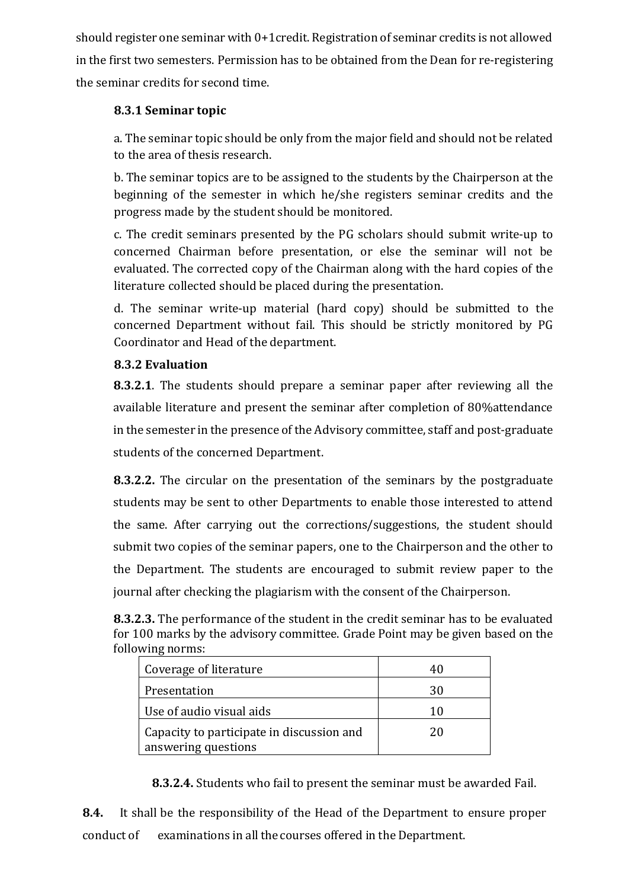should register one seminar with 0+1credit. Registration of seminar credits is not allowed in the first two semesters. Permission has to be obtained from the Dean for re-registering the seminar credits for second time.

# **8.3.1 Seminar topic**

a. The seminar topic should be only from the major field and should not be related to the area of thesis research.

b. The seminar topics are to be assigned to the students by the Chairperson at the beginning of the semester in which he/she registers seminar credits and the progress made by the student should be monitored.

c. The credit seminars presented by the PG scholars should submit write-up to concerned Chairman before presentation, or else the seminar will not be evaluated. The corrected copy of the Chairman along with the hard copies of the literature collected should be placed during the presentation.

d. The seminar write-up material (hard copy) should be submitted to the concerned Department without fail. This should be strictly monitored by PG Coordinator and Head of the department.

# **8.3.2 Evaluation**

**8.3.2.1**. The students should prepare a seminar paper after reviewing all the available literature and present the seminar after completion of 80%attendance in the semester in the presence of the Advisory committee, staff and post-graduate students of the concerned Department.

**8.3.2.2.** The circular on the presentation of the seminars by the postgraduate students may be sent to other Departments to enable those interested to attend the same. After carrying out the corrections/suggestions, the student should submit two copies of the seminar papers, one to the Chairperson and the other to the Department. The students are encouraged to submit review paper to the journal after checking the plagiarism with the consent of the Chairperson.

**8.3.2.3.** The performance of the student in the credit seminar has to be evaluated for 100 marks by the advisory committee. Grade Point may be given based on the following norms:

| Coverage of literature                    | 40 |
|-------------------------------------------|----|
| Presentation                              | 30 |
| Use of audio visual aids                  | 10 |
| Capacity to participate in discussion and | 20 |
| answering questions                       |    |

**8.3.2.4.** Students who fail to present the seminar must be awarded Fail.

**8.4.** It shall be the responsibility of the Head of the Department to ensure proper conduct of examinations in all the courses offered in the Department.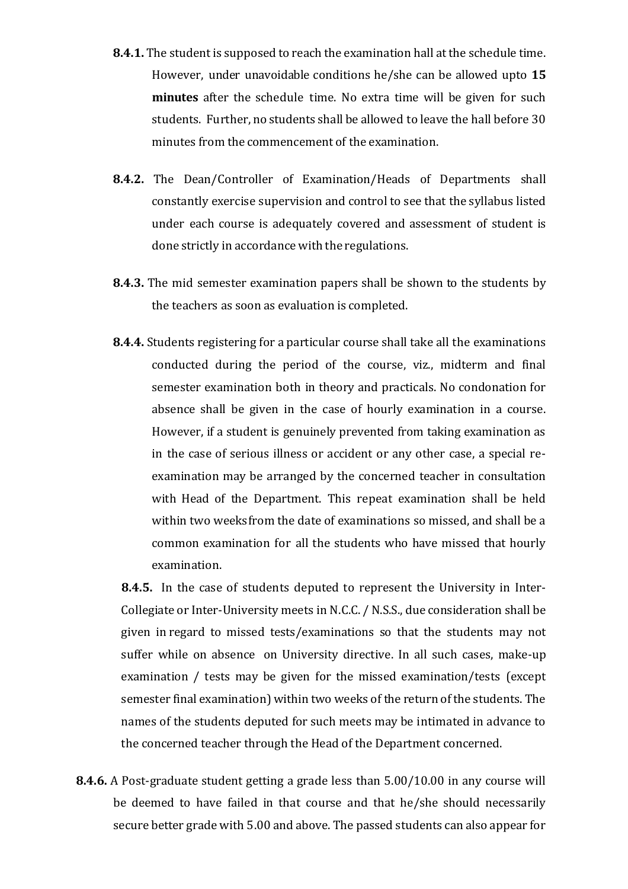- **8.4.1.** The student is supposed to reach the examination hall at the schedule time. However, under unavoidable conditions he/she can be allowed upto **15 minutes** after the schedule time. No extra time will be given for such students. Further, no students shall be allowed to leave the hall before 30 minutes from the commencement of the examination.
- **8.4.2.** The Dean/Controller of Examination/Heads of Departments shall constantly exercise supervision and control to see that the syllabus listed under each course is adequately covered and assessment of student is done strictly in accordance with the regulations.
- **8.4.3.** The mid semester examination papers shall be shown to the students by the teachers as soon as evaluation is completed.
- **8.4.4.** Students registering for a particular course shall take all the examinations conducted during the period of the course, viz., midterm and final semester examination both in theory and practicals. No condonation for absence shall be given in the case of hourly examination in a course. However, if a student is genuinely prevented from taking examination as in the case of serious illness or accident or any other case, a special reexamination may be arranged by the concerned teacher in consultation with Head of the Department. This repeat examination shall be held within two weeksfrom the date of examinations so missed, and shall be a common examination for all the students who have missed that hourly examination.

**8.4.5.** In the case of students deputed to represent the University in Inter-Collegiate or Inter-University meets in N.C.C. / N.S.S., due consideration shall be given in regard to missed tests/examinations so that the students may not suffer while on absence on University directive. In all such cases, make-up examination / tests may be given for the missed examination/tests (except semester final examination) within two weeks of the return of the students. The names of the students deputed for such meets may be intimated in advance to the concerned teacher through the Head of the Department concerned.

**8.4.6.** A Post-graduate student getting a grade less than 5.00/10.00 in any course will be deemed to have failed in that course and that he/she should necessarily secure better grade with 5.00 and above. The passed students can also appear for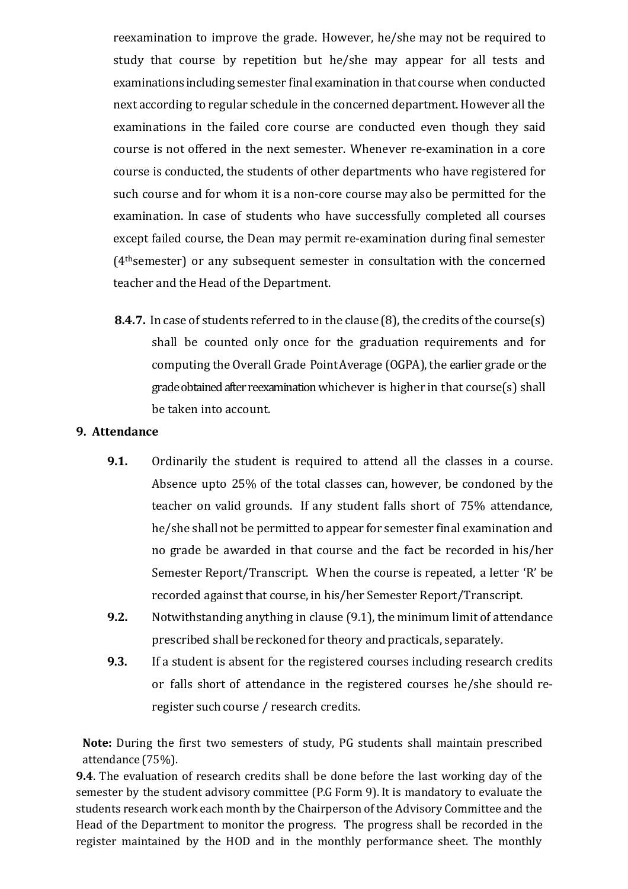reexamination to improve the grade. However, he/she may not be required to study that course by repetition but he/she may appear for all tests and examinations including semester final examination in that course when conducted next according to regular schedule in the concerned department. However all the examinations in the failed core course are conducted even though they said course is not offered in the next semester. Whenever re-examination in a core course is conducted, the students of other departments who have registered for such course and for whom it is a non-core course may also be permitted for the examination. In case of students who have successfully completed all courses except failed course, the Dean may permit re-examination during final semester (4thsemester) or any subsequent semester in consultation with the concerned teacher and the Head of the Department.

**8.4.7.** In case of students referred to in the clause (8), the credits of the course(s) shall be counted only once for the graduation requirements and for computing the Overall Grade PointAverage (OGPA), the earlier grade or the grade obtained after reexamination whichever is higher in that course(s) shall be taken into account.

#### **9. Attendance**

- **9.1.** Ordinarily the student is required to attend all the classes in a course. Absence upto 25% of the total classes can, however, be condoned by the teacher on valid grounds. If any student falls short of 75% attendance, he/she shall not be permitted to appear for semester final examination and no grade be awarded in that course and the fact be recorded in his/her Semester Report/Transcript. When the course is repeated, a letter 'R' be recorded against that course, in his/her Semester Report/Transcript.
- **9.2.** Notwithstanding anything in clause (9.1), the minimum limit of attendance prescribed shall be reckoned for theory and practicals, separately.
- **9.3.** If a student is absent for the registered courses including research credits or falls short of attendance in the registered courses he/she should reregister such course / research credits.

**Note:** During the first two semesters of study, PG students shall maintain prescribed attendance (75%).

**9.4**. The evaluation of research credits shall be done before the last working day of the semester by the student advisory committee (P.G Form 9). It is mandatory to evaluate the students research work each month by the Chairperson of the Advisory Committee and the Head of the Department to monitor the progress. The progress shall be recorded in the register maintained by the HOD and in the monthly performance sheet. The monthly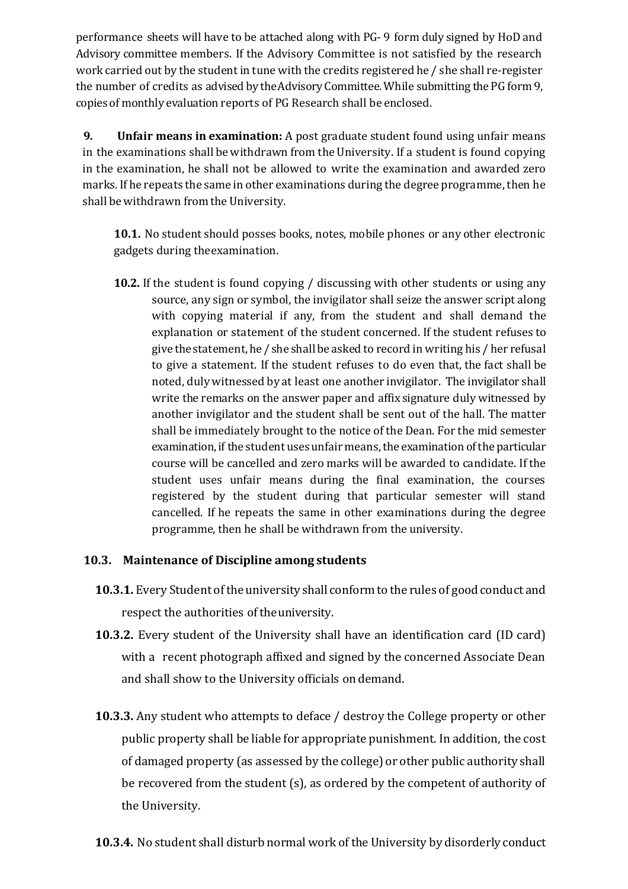performance sheets will have to be attached along with PG- 9 form duly signed by HoD and Advisory committee members. If the Advisory Committee is not satisfied by the research work carried out by the student in tune with the credits registered he / she shall re-register the number of credits as advised by theAdvisoryCommittee.While submitting the PG form 9, copies of monthly evaluation reports of PG Research shall be enclosed.

**9. Unfair means in examination:** A post graduate student found using unfair means in the examinations shall be withdrawn from the University. If a student is found copying in the examination, he shall not be allowed to write the examination and awarded zero marks. If he repeats the same in other examinations during the degree programme, then he shall be withdrawn from the University.

**10.1.** No student should posses books, notes, mobile phones or any other electronic gadgets during theexamination.

**10.2.** If the student is found copying / discussing with other students or using any source, any sign or symbol, the invigilator shall seize the answer script along with copying material if any, from the student and shall demand the explanation or statement of the student concerned. If the student refuses to give the statement, he / she shall be asked to record in writing his / her refusal to give a statement. If the student refuses to do even that, the fact shall be noted, dulywitnessed by at least one another invigilator. The invigilator shall write the remarks on the answer paper and affix signature duly witnessed by another invigilator and the student shall be sent out of the hall. The matter shall be immediately brought to the notice of the Dean. For the mid semester examination, if the student uses unfair means, the examination of the particular course will be cancelled and zero marks will be awarded to candidate. If the student uses unfair means during the final examination, the courses registered by the student during that particular semester will stand cancelled. If he repeats the same in other examinations during the degree programme, then he shall be withdrawn from the university.

# **10.3. Maintenance of Discipline among students**

- **10.3.1.** Every Student of the university shall conform to the rules of good conduct and respect the authorities of theuniversity.
- **10.3.2.** Every student of the University shall have an identification card (ID card) with a recent photograph affixed and signed by the concerned Associate Dean and shall show to the University officials ondemand.
- **10.3.3.** Any student who attempts to deface / destroy the College property or other public property shall be liable for appropriate punishment. In addition, the cost of damaged property (as assessed by the college) or other public authority shall be recovered from the student (s), as ordered by the competent of authority of the University.
- **10.3.4.** No student shall disturb normal work of the University by disorderly conduct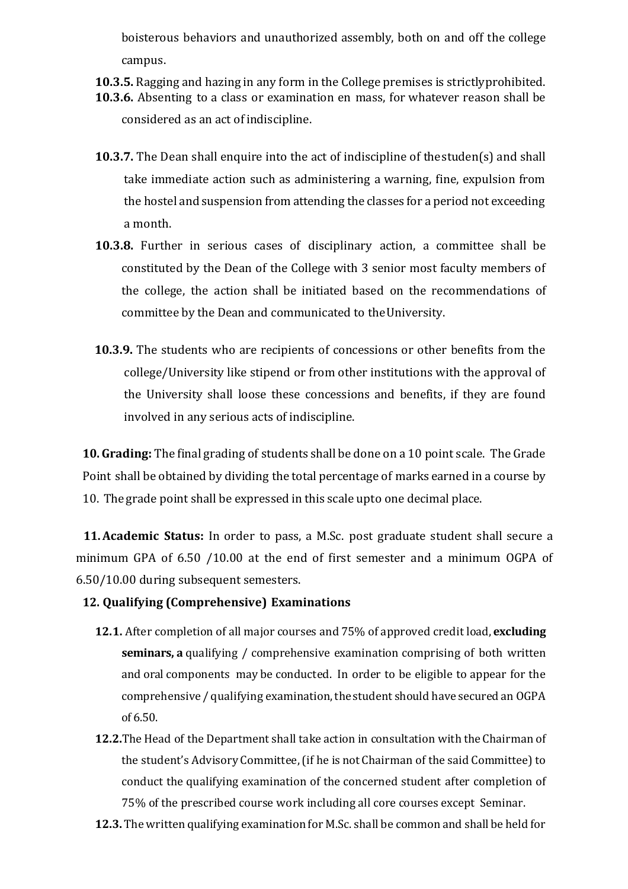boisterous behaviors and unauthorized assembly, both on and off the college campus.

**10.3.5.** Ragging and hazing in any form in the College premises is strictlyprohibited.

- **10.3.6.** Absenting to a class or examination en mass, for whatever reason shall be considered as an act of indiscipline.
- **10.3.7.** The Dean shall enquire into the act of indiscipline of thestuden(s) and shall take immediate action such as administering a warning, fine, expulsion from the hostel and suspension from attending the classes for a period not exceeding a month.
- **10.3.8.** Further in serious cases of disciplinary action, a committee shall be constituted by the Dean of the College with 3 senior most faculty members of the college, the action shall be initiated based on the recommendations of committee by the Dean and communicated to theUniversity.
- **10.3.9.** The students who are recipients of concessions or other benefits from the college/University like stipend or from other institutions with the approval of the University shall loose these concessions and benefits, if they are found involved in any serious acts of indiscipline.

**10.Grading:** The final grading of students shall be done on a 10 point scale. The Grade Point shall be obtained by dividing the total percentage of marks earned in a course by 10. The grade point shall be expressed in this scale upto one decimal place.

**11.Academic Status:** In order to pass, a M.Sc. post graduate student shall secure a minimum GPA of 6.50 /10.00 at the end of first semester and a minimum OGPA of 6.50/10.00 during subsequent semesters.

# **12. Qualifying (Comprehensive) Examinations**

- **12.1.** After completion of all major courses and 75% of approved credit load, **excluding seminars, a** qualifying / comprehensive examination comprising of both written and oral components may be conducted. In order to be eligible to appear for the comprehensive / qualifying examination, the student should have secured an OGPA of 6.50.
- **12.2.**The Head of the Department shall take action in consultation with the Chairman of the student's Advisory Committee,(if he is not Chairman of the said Committee) to conduct the qualifying examination of the concerned student after completion of 75% of the prescribed course work including all core courses except Seminar.
- **12.3.** The written qualifying examination for M.Sc. shall be common and shall be held for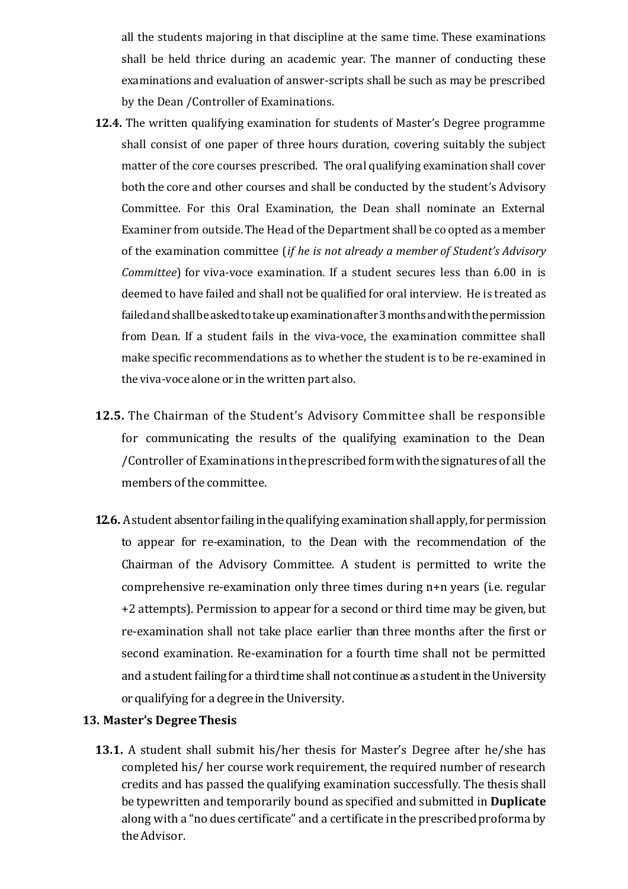all the students majoring in that discipline at the same time. These examinations shall be held thrice during an academic year. The manner of conducting these examinations and evaluation of answer-scripts shall be such as may be prescribed by the Dean /Controller of Examinations.

- **12.4.** The written qualifying examination for students of Master's Degree programme shall consist of one paper of three hours duration, covering suitably the subject matter of the core courses prescribed. The oral qualifying examination shall cover both the core and other courses and shall be conducted by the student's Advisory Committee. For this Oral Examination, the Dean shall nominate an External Examiner from outside. The Head of the Department shall be co opted as a member of the examination committee (*if he is not already a member of Student's Advisory Committee*) for viva-voce examination. If a student secures less than 6.00 in is deemed to have failed and shall not be qualified for oral interview. He is treated as failed and shall be asked to take up examination after 3 months and with the permission from Dean. If a student fails in the viva-voce, the examination committee shall make specific recommendations as to whether the student is to be re-examined in the viva-voce alone or in the written part also.
- **12.5.** The Chairman of the Student's Advisory Committee shall be responsible for communicating the results of the qualifying examination to the Dean /Controller of Examinations intheprescribedformwiththesignatures of all the members of the committee.
- **12.6.** A student absent or failing in the qualifying examination shall apply, for permission to appear for re-examination, to the Dean with the recommendation of the Chairman of the Advisory Committee. A student is permitted to write the comprehensive re-examination only three times during n+n years (i.e. regular +2 attempts). Permission to appear for a second or third time may be given, but re-examination shall not take place earlier than three months after the first or second examination. Re-examination for a fourth time shall not be permitted and a student failing for a third time shall not continue as a student in the University or qualifying for a degree in the University.

#### **13. Master's DegreeThesis**

**13.1.** A student shall submit his/her thesis for Master's Degree after he/she has completed his/ her course work requirement, the required number of research credits and has passed the qualifying examination successfully. The thesis shall be typewritten and temporarily bound as specified and submitted in **Duplicate** along with a "no dues certificate" and a certificate in the prescribed proforma by theAdvisor.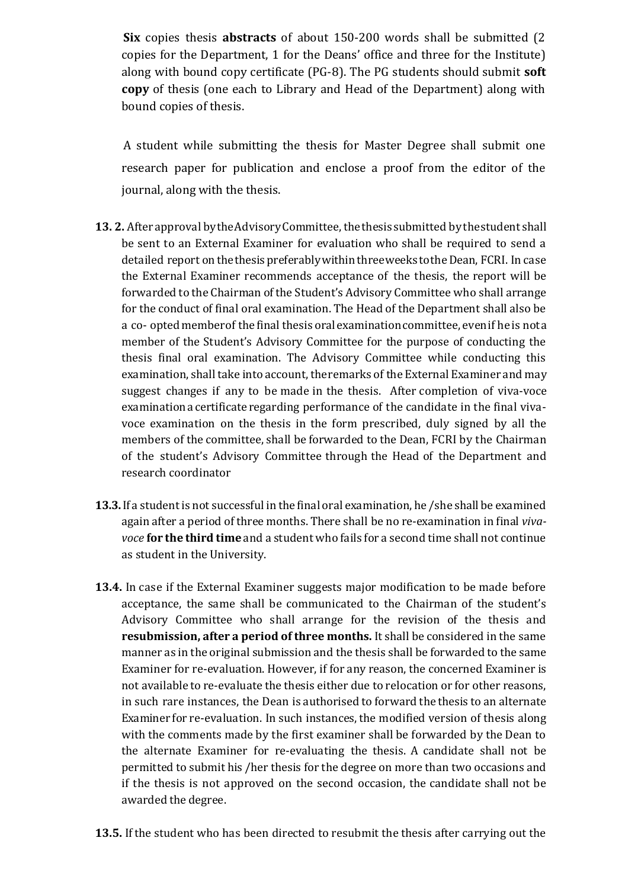**Six** copies thesis **abstracts** of about 150-200 words shall be submitted (2 copies for the Department, 1 for the Deans' office and three for the Institute) along with bound copy certificate (PG-8). The PG students should submit **soft copy** of thesis (one each to Library and Head of the Department) along with bound copies of thesis.

A student while submitting the thesis for Master Degree shall submit one research paper for publication and enclose a proof from the editor of the journal, along with the thesis.

- **13. 2.** After approval by the Advisory Committee, the thesis submitted by the student shall be sent to an External Examiner for evaluation who shall be required to send a detailed report on the thesis preferably within three weeks to the Dean, FCRI. In case the External Examiner recommends acceptance of the thesis, the report will be forwarded to the Chairman of the Student's Advisory Committee who shall arrange for the conduct of final oral examination. The Head of the Department shall also be a co- opted member of the final thesis oral examination committee, even if he is not a member of the Student's Advisory Committee for the purpose of conducting the thesis final oral examination. The Advisory Committee while conducting this examination, shall take into account, the remarks of the External Examiner and may suggest changes if any to be made in the thesis. After completion of viva-voce examination a certificate regarding performance of the candidate in the final vivavoce examination on the thesis in the form prescribed, duly signed by all the members of the committee, shall be forwarded to the Dean, FCRI by the Chairman of the student's Advisory Committee through the Head of the Department and research coordinator
- **13.3.**If a student is not successful in the final oral examination, he /she shall be examined again after a period of three months. There shall be no re-examination in final *vivavoce* **for the third time** and a student who fails for a second time shall not continue as student in the University.
- **13.4.** In case if the External Examiner suggests major modification to be made before acceptance, the same shall be communicated to the Chairman of the student's Advisory Committee who shall arrange for the revision of the thesis and **resubmission, after a period of three months.** It shall be considered in the same manner as in the original submission and the thesis shall be forwarded to the same Examiner for re-evaluation. However, if for any reason, the concerned Examiner is not available to re-evaluate the thesis either due to relocation or for other reasons, in such rare instances, the Dean is authorised to forward the thesis to an alternate Examiner for re-evaluation. In such instances, the modified version of thesis along with the comments made by the first examiner shall be forwarded by the Dean to the alternate Examiner for re-evaluating the thesis. A candidate shall not be permitted to submit his /her thesis for the degree on more than two occasions and if the thesis is not approved on the second occasion, the candidate shall not be awarded the degree.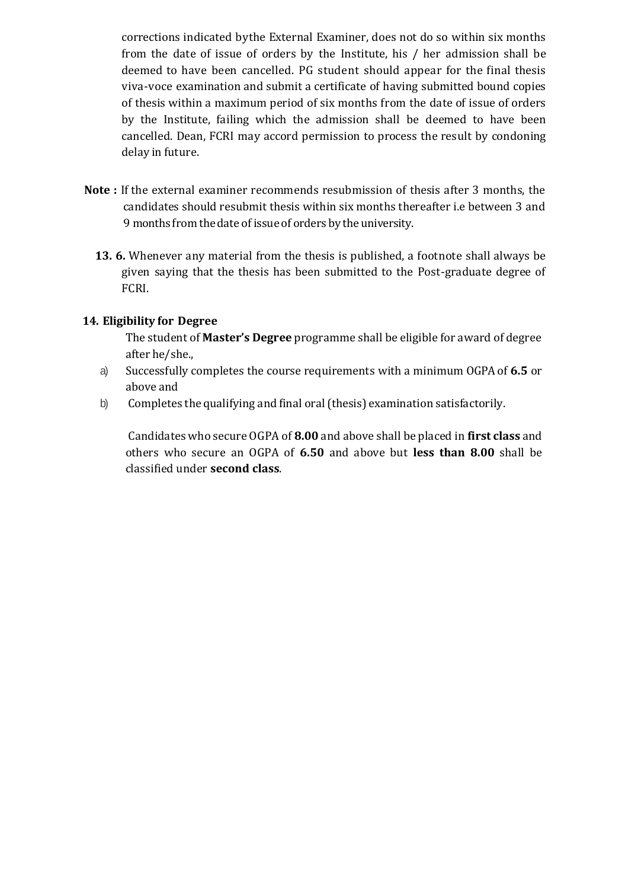corrections indicated bythe External Examiner, does not do so within six months from the date of issue of orders by the Institute, his / her admission shall be deemed to have been cancelled. PG student should appear for the final thesis viva-voce examination and submit a certificate of having submitted bound copies of thesis within a maximum period of six months from the date of issue of orders by the Institute, failing which the admission shall be deemed to have been cancelled. Dean, FCRI may accord permission to process the result by condoning delay in future.

- **Note :** If the external examiner recommends resubmission of thesis after 3 months, the candidates should resubmit thesis within six months thereafter i.e between 3 and 9 months from the date of issue of orders by the university.
	- **13. 6.** Whenever any material from the thesis is published, a footnote shall always be given saying that the thesis has been submitted to the Post-graduate degree of FCRI.

#### **14. Eligibility for Degree**

The student of **Master's Degree** programme shall be eligible for award of degree after he/she.,

- a) Successfully completes the course requirements with a minimum OGPA of **6.5** or above and
- b) Completes the qualifying and final oral (thesis) examination satisfactorily.

Candidates who secure OGPA of **8.00** and above shall be placed in **first class** and others who secure an OGPA of **6.50** and above but **less than 8.00** shall be classified under **second class**.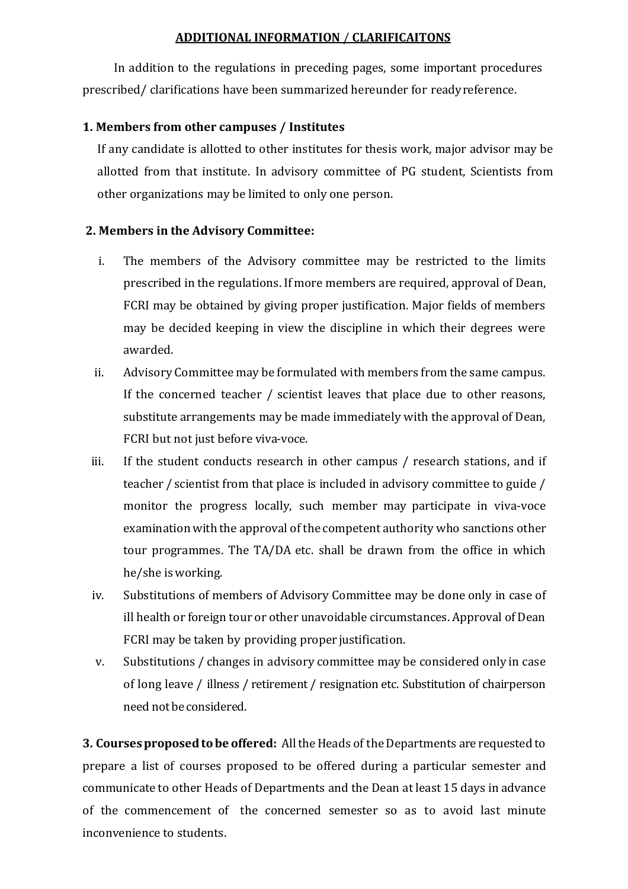#### **ADDITIONAL INFORMATION** / **CLARIFICAITONS**

In addition to the regulations in preceding pages, some important procedures prescribed/ clarifications have been summarized hereunder for readyreference.

#### **1. Members from other campuses / Institutes**

If any candidate is allotted to other institutes for thesis work, major advisor may be allotted from that institute. In advisory committee of PG student, Scientists from other organizations may be limited to only one person.

# **2. Members in the Advisory Committee:**

- i. The members of the Advisory committee may be restricted to the limits prescribed in the regulations. If more members are required, approval of Dean, FCRI may be obtained by giving proper justification. Major fields of members may be decided keeping in view the discipline in which their degrees were awarded.
- ii. Advisory Committee may be formulated with members from the same campus. If the concerned teacher / scientist leaves that place due to other reasons, substitute arrangements may be made immediately with the approval of Dean, FCRI but not just before viva-voce.
- iii. If the student conducts research in other campus / research stations, and if teacher / scientist from that place is included in advisory committee to guide / monitor the progress locally, such member may participate in viva-voce examination with the approval of the competent authority who sanctions other tour programmes. The TA/DA etc. shall be drawn from the office in which he/she is working.
- iv. Substitutions of members of Advisory Committee may be done only in case of ill health or foreign tour or other unavoidable circumstances. Approval of Dean FCRI may be taken by providing proper justification.
- v. Substitutions / changes in advisory committee may be considered only in case of long leave / illness / retirement / resignation etc. Substitution of chairperson need not be considered.

**3. Coursesproposedtobe offered:** All theHeads of theDepartments are requested to prepare a list of courses proposed to be offered during a particular semester and communicate to other Heads of Departments and the Dean at least 15 days in advance of the commencement of the concerned semester so as to avoid last minute inconvenience to students.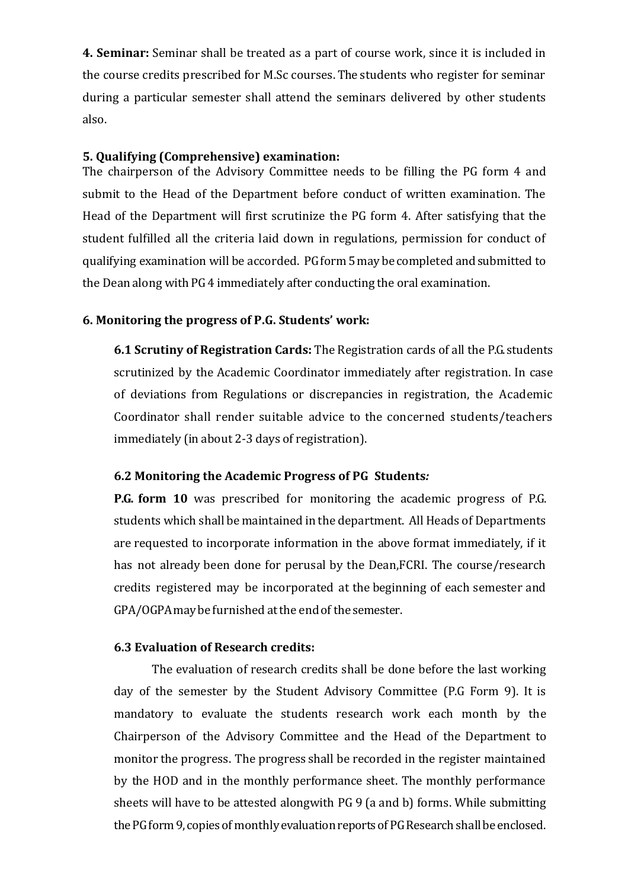**4. Seminar:** Seminar shall be treated as a part of course work, since it is included in the course credits prescribed for M.Sc courses. The students who register for seminar during a particular semester shall attend the seminars delivered by other students also.

#### **5. Qualifying (Comprehensive) examination:**

The chairperson of the Advisory Committee needs to be filling the PG form 4 and submit to the Head of the Department before conduct of written examination. The Head of the Department will first scrutinize the PG form 4. After satisfying that the student fulfilled all the criteria laid down in regulations, permission for conduct of qualifying examination will be accorded. PGform5may becompleted andsubmitted to the Dean along with PG4 immediately after conducting the oral examination.

# **6. Monitoring the progress of P.G. Students' work:**

**6.1 Scrutiny of Registration Cards:** The Registration cards of all the P.G. students scrutinized by the Academic Coordinator immediately after registration. In case of deviations from Regulations or discrepancies in registration, the Academic Coordinator shall render suitable advice to the concerned students/teachers immediately (in about 2-3 days of registration).

# **6.2 Monitoring the Academic Progress of PG Students***:*

**P.G. form 10** was prescribed for monitoring the academic progress of P.G. students which shall be maintained in the department. All Heads of Departments are requested to incorporate information in the above format immediately, if it has not already been done for perusal by the Dean,FCRI. The course/research credits registered may be incorporated at the beginning of each semester and GPA/OGPAmaybe furnished atthe endof the semester.

# **6.3 Evaluation of Research credits:**

The evaluation of research credits shall be done before the last working day of the semester by the Student Advisory Committee (P.G Form 9). It is mandatory to evaluate the students research work each month by the Chairperson of the Advisory Committee and the Head of the Department to monitor the progress. The progress shall be recorded in the register maintained by the HOD and in the monthly performance sheet. The monthly performance sheets will have to be attested alongwith PG 9 (a and b) forms. While submitting the PG form 9, copies of monthly evaluation reports of PG Research shall be enclosed.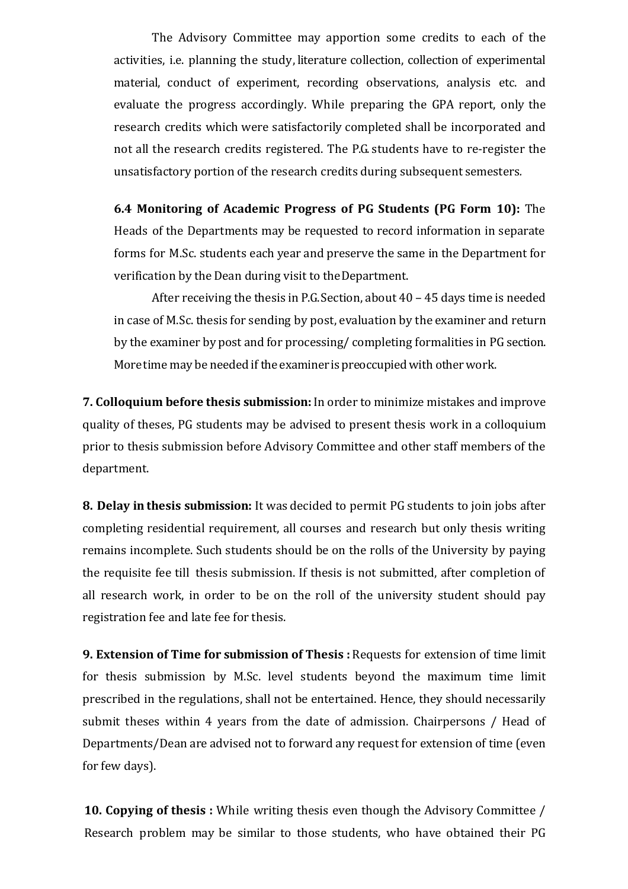The Advisory Committee may apportion some credits to each of the activities, i.e. planning the study, literature collection, collection of experimental material, conduct of experiment, recording observations, analysis etc. and evaluate the progress accordingly. While preparing the GPA report, only the research credits which were satisfactorily completed shall be incorporated and not all the research credits registered. The P.G. students have to re-register the unsatisfactory portion of the research credits during subsequent semesters*.*

**6.4 Monitoring of Academic Progress of PG Students (PG Form 10):** The Heads of the Departments may be requested to record information in separate forms for M.Sc. students each year and preserve the same in the Department for verification by the Dean during visit to the Department.

After receiving the thesis in P.G. Section, about 40 – 45 days time is needed in case of M.Sc. thesis for sending by post, evaluation by the examiner and return by the examiner by post and for processing/ completing formalities in PG section. More time may be needed if the examiner is preoccupied with other work.

**7. Colloquium before thesis submission:** In order to minimize mistakes and improve quality of theses, PG students may be advised to present thesis work in a colloquium prior to thesis submission before Advisory Committee and other staff members of the department.

**8. Delay in thesis submission:** It was decided to permit PG students to join jobs after completing residential requirement, all courses and research but only thesis writing remains incomplete. Such students should be on the rolls of the University by paying the requisite fee till thesis submission. If thesis is not submitted, after completion of all research work, in order to be on the roll of the university student should pay registration fee and late fee for thesis.

**9. Extension of Time for submission of Thesis :** Requests for extension of time limit for thesis submission by M.Sc. level students beyond the maximum time limit prescribed in the regulations, shall not be entertained. Hence, they should necessarily submit theses within 4 years from the date of admission. Chairpersons / Head of Departments/Dean are advised not to forward any request for extension of time (even for few days).

**10. Copying of thesis :** While writing thesis even though the Advisory Committee / Research problem may be similar to those students, who have obtained their PG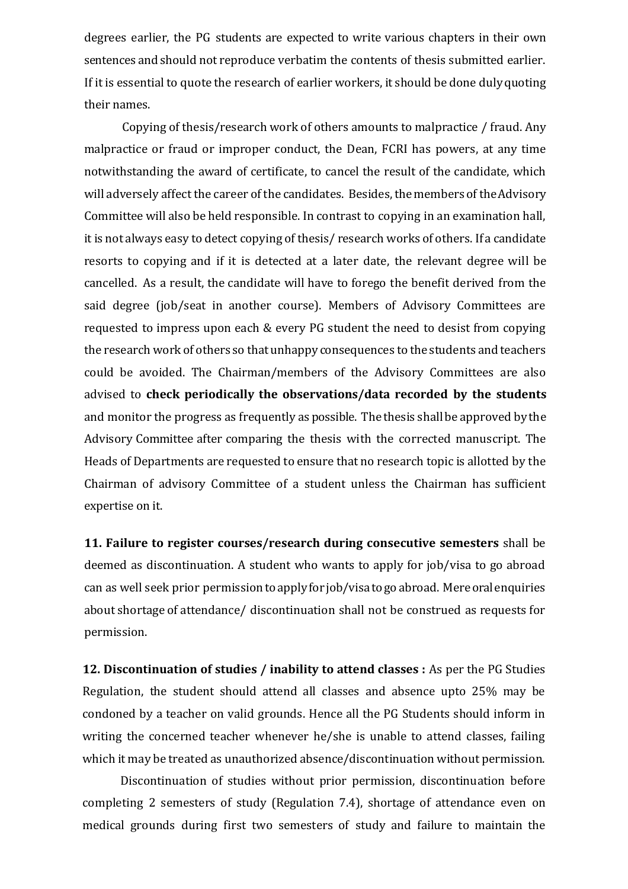degrees earlier, the PG students are expected to write various chapters in their own sentences and should not reproduce verbatim the contents of thesis submitted earlier. If it is essential to quote the research of earlier workers, it should be done dulyquoting their names.

Copying of thesis/research work of others amounts to malpractice / fraud. Any malpractice or fraud or improper conduct, the Dean, FCRI has powers, at any time notwithstanding the award of certificate, to cancel the result of the candidate, which will adversely affect the career of the candidates. Besides, the members of the Advisory Committee will also be held responsible. In contrast to copying in an examination hall, it is not always easy to detect copying of thesis/ research works of others. If a candidate resorts to copying and if it is detected at a later date, the relevant degree will be cancelled. As a result, the candidate will have to forego the benefit derived from the said degree (job/seat in another course). Members of Advisory Committees are requested to impress upon each & every PG student the need to desist from copying the research work of others so that unhappyconsequences to the students and teachers could be avoided. The Chairman/members of the Advisory Committees are also advised to **check periodically the observations/data recorded by the students**  and monitor the progress as frequently as possible. The thesis shall be approved by the Advisory Committee after comparing the thesis with the corrected manuscript. The Heads of Departments are requested to ensure that no research topic is allotted by the Chairman of advisory Committee of a student unless the Chairman has sufficient expertise on it.

**11. Failure to register courses/research during consecutive semesters** shall be deemed as discontinuation. A student who wants to apply for job/visa to go abroad can as well seek prior permissionto applyfor job/visatogo abroad. Mereoral enquiries about shortage of attendance/ discontinuation shall not be construed as requests for permission.

**12. Discontinuation of studies / inability to attend classes :** As per the PG Studies Regulation, the student should attend all classes and absence upto 25% may be condoned by a teacher on valid grounds. Hence all the PG Students should inform in writing the concerned teacher whenever he/she is unable to attend classes, failing which it may be treated as unauthorized absence/discontinuation without permission.

Discontinuation of studies without prior permission, discontinuation before completing 2 semesters of study (Regulation 7.4), shortage of attendance even on medical grounds during first two semesters of study and failure to maintain the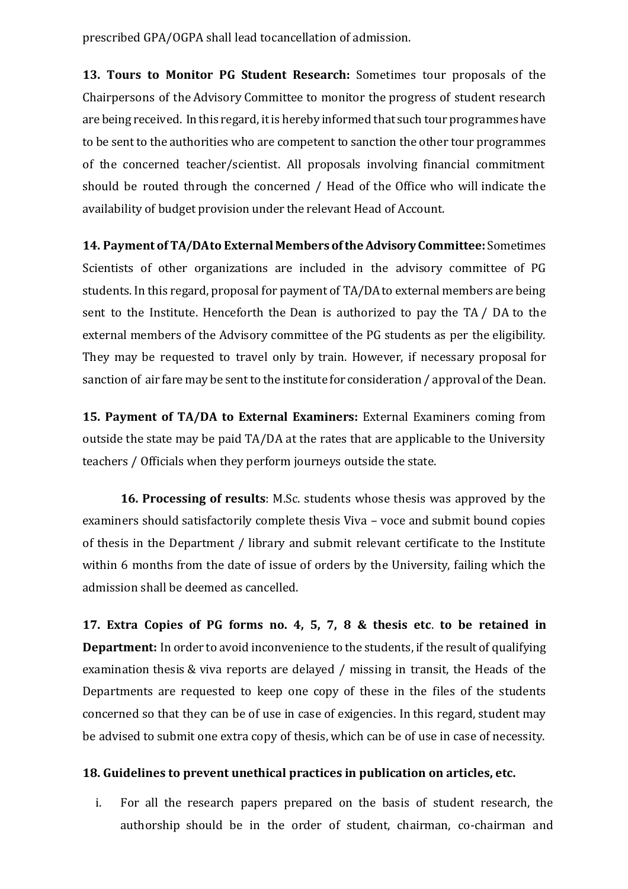prescribed GPA/OGPA shall lead tocancellation of admission.

**13. Tours to Monitor PG Student Research:** Sometimes tour proposals of the Chairpersons of the Advisory Committee to monitor the progress of student research are being received. Inthis regard, itis hereby informed that such tour programmeshave to be sent to the authorities who are competent to sanction the other tour programmes of the concerned teacher/scientist. All proposals involving financial commitment should be routed through the concerned / Head of the Office who will indicate the availability of budget provision under the relevant Head of Account.

**14. Payment of TA/DAto ExternalMembers oftheAdvisoryCommittee:**Sometimes Scientists of other organizations are included in the advisory committee of PG students. In this regard, proposal for payment of TA/DA to external members are being sent to the Institute. Henceforth the Dean is authorized to pay the TA / DA to the external members of the Advisory committee of the PG students as per the eligibility*.*  They may be requested to travel only by train. However, if necessary proposal for sanction of air fare may be sent to the institute for consideration / approval of the Dean.

**15. Payment of TA/DA to External Examiners:** External Examiners coming from outside the state may be paid TA/DA at the rates that are applicable to the University teachers / Officials when they perform journeys outside the state.

**16. Processing of results**: M.Sc. students whose thesis was approved by the examiners should satisfactorily complete thesis Viva – voce and submit bound copies of thesis in the Department / library and submit relevant certificate to the Institute within 6 months from the date of issue of orders by the University, failing which the admission shall be deemed as cancelled.

**17. Extra Copies of PG forms no. 4, 5, 7, 8 & thesis etc**. **to be retained in Department:** In order to avoid inconvenience to the students, if the result of qualifying examination thesis & viva reports are delayed / missing in transit, the Heads of the Departments are requested to keep one copy of these in the files of the students concerned so that they can be of use in case of exigencies. In this regard, student may be advised to submit one extra copy of thesis, which can be of use in case of necessity.

#### **18. Guidelines to prevent unethical practices in publication on articles, etc.**

i. For all the research papers prepared on the basis of student research, the authorship should be in the order of student, chairman, co-chairman and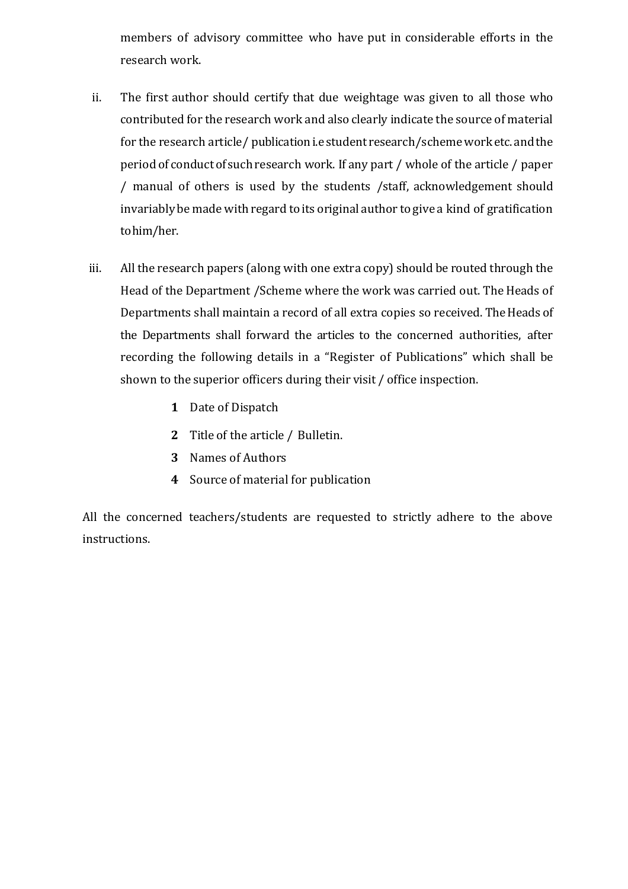members of advisory committee who have put in considerable efforts in the research work.

- ii. The first author should certify that due weightage was given to all those who contributed for the research work and also clearly indicate the source of material for the research article/ publication i.e student research/scheme work etc. and the period of conductof suchresearch work. If any part / whole of the article / paper / manual of others is used by the students /staff, acknowledgement should invariably be made with regard to its original author to give a kind of gratification tohim/her.
- iii. All the research papers (along with one extra copy) should be routed through the Head of the Department /Scheme where the work was carried out. The Heads of Departments shall maintain a record of all extra copies so received. TheHeads of the Departments shall forward the articles to the concerned authorities, after recording the following details in a "Register of Publications" which shall be shown to the superior officers during their visit / office inspection.
	- **1** Date of Dispatch
	- **2** Title of the article / Bulletin.
	- **3** Names of Authors
	- **4** Source of material for publication

All the concerned teachers/students are requested to strictly adhere to the above instructions.